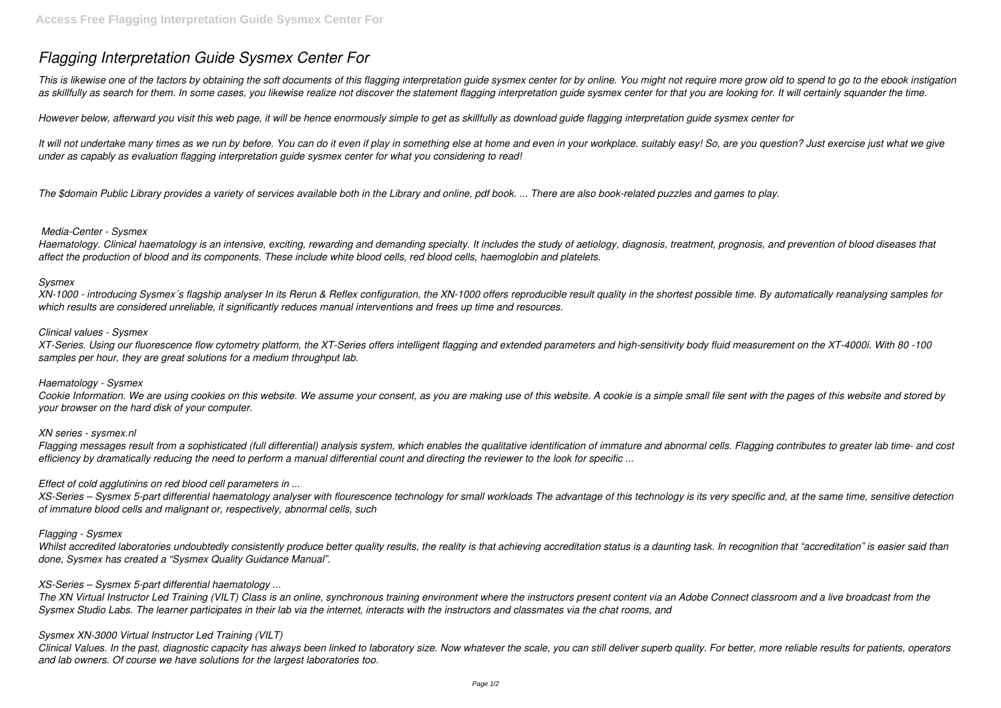# *Flagging Interpretation Guide Sysmex Center For*

This is likewise one of the factors by obtaining the soft documents of this flagging interpretation guide sysmex center for by online. You might not require more grow old to spend to go to the ebook instigation *as skillfully as search for them. In some cases, you likewise realize not discover the statement flagging interpretation guide sysmex center for that you are looking for. It will certainly squander the time.*

*However below, afterward you visit this web page, it will be hence enormously simple to get as skillfully as download guide flagging interpretation guide sysmex center for*

*It will not undertake many times as we run by before. You can do it even if play in something else at home and even in your workplace. suitably easy! So, are you question? Just exercise just what we give under as capably as evaluation flagging interpretation guide sysmex center for what you considering to read!*

*The \$domain Public Library provides a variety of services available both in the Library and online, pdf book. ... There are also book-related puzzles and games to play.*

## *Media-Center - Sysmex*

*Haematology. Clinical haematology is an intensive, exciting, rewarding and demanding specialty. It includes the study of aetiology, diagnosis, treatment, prognosis, and prevention of blood diseases that affect the production of blood and its components. These include white blood cells, red blood cells, haemoglobin and platelets.*

#### *Sysmex*

*XN-1000 - introducing Sysmex´s flagship analyser In its Rerun & Reflex configuration, the XN-1000 offers reproducible result quality in the shortest possible time. By automatically reanalysing samples for which results are considered unreliable, it significantly reduces manual interventions and frees up time and resources.*

#### *Clinical values - Sysmex*

*XT-Series. Using our fluorescence flow cytometry platform, the XT-Series offers intelligent flagging and extended parameters and high-sensitivity body fluid measurement on the XT-4000i. With 80 -100 samples per hour, they are great solutions for a medium throughput lab.*

# *Haematology - Sysmex*

*Cookie Information. We are using cookies on this website. We assume your consent, as you are making use of this website. A cookie is a simple small file sent with the pages of this website and stored by your browser on the hard disk of your computer.*

#### *XN series - sysmex.nl*

*Flagging messages result from a sophisticated (full differential) analysis system, which enables the qualitative identification of immature and abnormal cells. Flagging contributes to greater lab time- and cost efficiency by dramatically reducing the need to perform a manual differential count and directing the reviewer to the look for specific ...*

# *Effect of cold agglutinins on red blood cell parameters in ...*

*XS-Series – Sysmex 5-part differential haematology analyser with flourescence technology for small workloads The advantage of this technology is its very specific and, at the same time, sensitive detection of immature blood cells and malignant or, respectively, abnormal cells, such*

#### *Flagging - Sysmex*

*Whilst accredited laboratories undoubtedly consistently produce better quality results, the reality is that achieving accreditation status is a daunting task. In recognition that "accreditation" is easier said than done, Sysmex has created a "Sysmex Quality Guidance Manual".*

# *XS-Series – Sysmex 5-part differential haematology ...*

*The XN Virtual Instructor Led Training (VILT) Class is an online, synchronous training environment where the instructors present content via an Adobe Connect classroom and a live broadcast from the Sysmex Studio Labs. The learner participates in their lab via the internet, interacts with the instructors and classmates via the chat rooms, and*

# *Sysmex XN-3000 Virtual Instructor Led Training (VILT)*

*Clinical Values. In the past, diagnostic capacity has always been linked to laboratory size. Now whatever the scale, you can still deliver superb quality. For better, more reliable results for patients, operators and lab owners. Of course we have solutions for the largest laboratories too.*